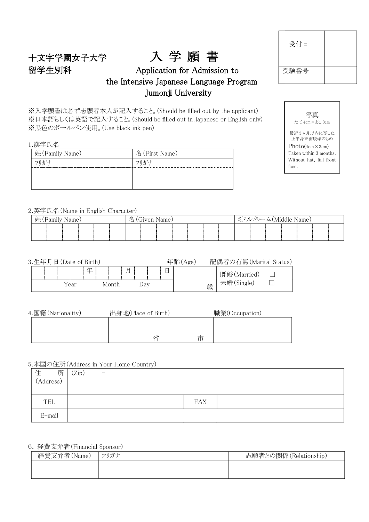## 十文字学園女子大学 入 学 願 書 留学生別科 Application for Admission to the Intensive Japanese Language Program Jumonji University

※入学願書は必ず志願者本人が記入すること。(Should be filled out by the applicant) ※日本語もしくは英語で記入すること。(Should be filled out in Japanese or English only) ※黒色のボールペン使用。(Use black ink pen)

1.漢字氏名

| 名 (First Name) |
|----------------|
| フリガナ           |
|                |
|                |
|                |

2.英字氏名(Name in English Character)

|  | 姓 (Family Name)<br>- ミドルネーム(Middle Name)<br>名<br>(Given Name) |  |  |  |  |  |  |  |  |  |  |  |  |  |  |  |  |  |
|--|---------------------------------------------------------------|--|--|--|--|--|--|--|--|--|--|--|--|--|--|--|--|--|
|  |                                                               |  |  |  |  |  |  |  |  |  |  |  |  |  |  |  |  |  |

| 3.生年月日 (Date of Birth) |      |    |       |   |     |  | 年齢/<br>Age |   | 配偶者の有無(Marital Status) |  |
|------------------------|------|----|-------|---|-----|--|------------|---|------------------------|--|
|                        |      | 任. |       | E |     |  |            |   | 既婚(Married)            |  |
|                        | Year |    | Month |   | Jav |  |            | 歳 | 未婚(Single)             |  |

| 4.国籍 (Nationality) | 出身地(Place of Birth) | 職業(Occupation) |
|--------------------|---------------------|----------------|
|                    |                     |                |
|                    |                     |                |
|                    | 省<br>巾              |                |

5.本国の住所(Address in Your Home Country)

| 住<br>$(Address)$<br>所 | Zip)<br>$\overline{\phantom{m}}$ |
|-----------------------|----------------------------------|
|                       |                                  |
| TEL                   | <b>FAX</b>                       |
| $E$ -mail             |                                  |

#### 6. 経費支弁者(Financial Sponsor)

| 経費支弁者(Name) | フリガナ | 志願者との関係 (Relationship) |
|-------------|------|------------------------|
|             |      |                        |
|             |      |                        |

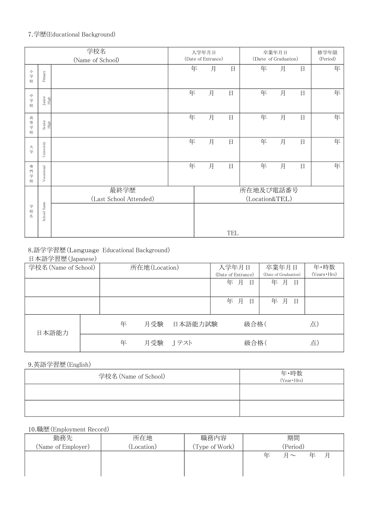### 7.学歴(Educational Background)

|                     |                | 学校名<br>(Name of School)        |   | 入学年月日<br>(Date of Entrance) |     | (Date of Graduation)        | 卒業年月日 |        | 修学年限<br>(Period) |
|---------------------|----------------|--------------------------------|---|-----------------------------|-----|-----------------------------|-------|--------|------------------|
| 小<br>学校             | Primary        |                                | 年 | 月                           | 日   | 年                           | 月     | $\Box$ | 年                |
| $\Rightarrow$<br>学校 | Junior<br>High |                                | 年 | 月                           | 日   | 年                           | 月     | $\Box$ | 年                |
| 高<br>等<br>学校        | Senior<br>High |                                | 年 | 月                           | 日   | 年                           | 月     | $\Box$ | 年                |
| 大学                  | University     |                                | 年 | 月                           | 日   | 年                           | 月     | $\Box$ | 年                |
| 専<br>門<br>学<br>校    | Vocational     |                                | 年 | 月                           | 日   | 年                           | 月     | 日      | 年                |
|                     |                | 最終学歴<br>(Last School Attended) |   |                             |     | 所在地及び電話番号<br>(Location&TEL) |       |        |                  |
| 学校名                 | School Name    |                                |   |                             | TEL |                             |       |        |                  |

### 8.語学学習歴(Language Educational Background)

#### 日本語学習歴(Japanese)

| 学校名 (Name of School) |   | 所在地(Location) |         | 入学年月日              |      | 卒業年月日                | 年·時数                |
|----------------------|---|---------------|---------|--------------------|------|----------------------|---------------------|
|                      |   |               |         | (Date of Entrance) |      | (Date of Graduation) | $(Years \cdot Hrs)$ |
|                      |   |               |         | 年 月                | 日    | 年月<br>日              |                     |
|                      |   |               |         | 年 月                | 日    | 年 月<br>日             |                     |
| 日本語能力                | 年 | 月受験           | 日本語能力試験 |                    | 級合格( |                      | 点)                  |
|                      | 年 | 月受験           | Jテスト    |                    | 級合格( |                      | 点)                  |

9.英語学習歴(English)

| 学校名 (Name of School) | 年・時数<br>(Year・Hrs) |
|----------------------|--------------------|
|                      |                    |
|                      |                    |

### 10.職歴(Employment Record)

| 勤務先                | 所在地       | 職務内容           | 期間                           |
|--------------------|-----------|----------------|------------------------------|
| (Name of Employer) | Location) | (Type of Work) | (Period)                     |
|                    |           |                | E<br>年<br>仕<br>$\sim$ $\sim$ |
|                    |           |                |                              |
|                    |           |                |                              |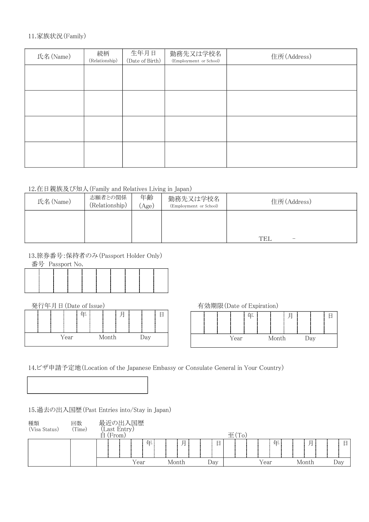#### 11.家族状況(Family)

| 氏名(Name) | 続柄<br>(Relationship) | 生年月日<br>(Date of Birth) | 勤務先又は学校名<br>(Employment or School) | 住所(Address) |
|----------|----------------------|-------------------------|------------------------------------|-------------|
|          |                      |                         |                                    |             |
|          |                      |                         |                                    |             |
|          |                      |                         |                                    |             |
|          |                      |                         |                                    |             |
|          |                      |                         |                                    |             |

#### 12.在日親族及び知人(Family and Relatives Living in Japan)

| 氏名 (Name) | 志願者との関係<br>(Relationship) | 年齢<br>Age) | 勤務先又は学校名<br>(Employment or School) | 住所(Address)     |
|-----------|---------------------------|------------|------------------------------------|-----------------|
|           |                           |            |                                    | <b>TEL</b><br>- |

#### 13.旅券番号:保持者のみ(Passport Holder Only)

番号 Passport No.



Year Month Day

| 発行年月日 (Date of Issue) |   |  |        | 有効期限(Date of Expiration) |  |   |  |
|-----------------------|---|--|--------|--------------------------|--|---|--|
|                       | 仕 |  | п<br>⊢ |                          |  | 任 |  |

| 有効期限(Date of Expiration) |  |      |  |  |       |  |     |  |
|--------------------------|--|------|--|--|-------|--|-----|--|
|                          |  |      |  |  |       |  |     |  |
|                          |  |      |  |  |       |  |     |  |
|                          |  | Year |  |  | Month |  | )av |  |

```
14.ビザ申請予定地(Location of the Japanese Embassy or Consulate General in Your Country)
```
15.過去の出入国歴(Past Entries into/Stay in Japan)

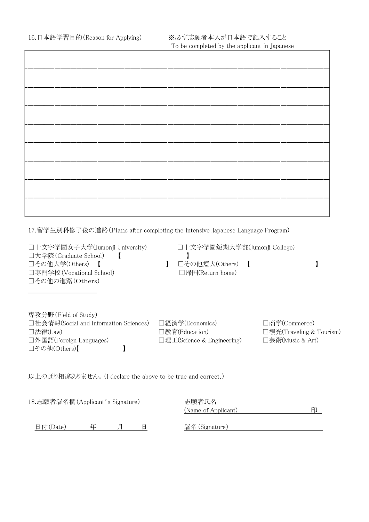$\overline{1}$ 

 $\overline{\phantom{a}}$ 

17.留学生別科修了後の進路(Plans after completing the Intensive Japanese Language Program)

| □十文字学園女子大学(Jumonji University)<br>□大学院 (Graduate School)<br>□その他大学(Others)<br>□専門学校 (Vocational School)<br>□その他の進路(Others) | □十文字学園短期大学部(Jumonji College)<br>□その他短大(Others)<br>- 1<br>□帰国(Return home) |                                                               |
|----------------------------------------------------------------------------------------------------------------------------|---------------------------------------------------------------------------|---------------------------------------------------------------|
| 専攻分野 (Field of Study)<br>□社会情報(Social and Information Sciences)<br>□法律(Law)<br>□外国語(Foreign Languages)<br>□その他(Others)【    | □経済学(Economics)<br>□教育(Education)<br>□理工(Science & Engineering)           | □商学(Commerce)<br>□観光(Traveling & Tourism)<br>□芸術(Music & Art) |
| 以上の通り相違ありません。(I declare the above to be true and correct.)                                                                 |                                                                           |                                                               |
|                                                                                                                            | 十時生の                                                                      |                                                               |

| 18.志願者署名欄(Applicant's Signature) | 志願者氏名               |
|----------------------------------|---------------------|
|                                  | (Name of Applicant) |
|                                  |                     |
| 日付 $(Date)$<br>仕                 | 署名 (Signature)      |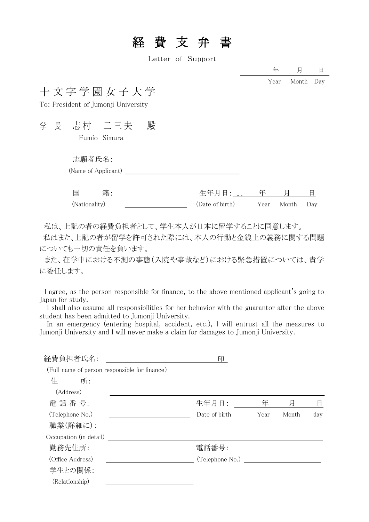# 経費支弁 書

Letter of Support

年 月 日 Year Month Day

## 十 文 字 学 園 女 子 大 学

To: President of Jumonji University

学 長 志村 二三夫 殿

Fumio Simura

#### 志願者氏名:

| (Name of Applicant) |
|---------------------|
|---------------------|

| 国             | 籍: |                 |                |  |
|---------------|----|-----------------|----------------|--|
| (Nationality) |    | (Date of birth) | Year Month Day |  |

私は、上記の者の経費負担者として、学生本人が日本に留学することに同意します。 私はまた、上記の者が留学を許可された際には、本人の行動と金銭上の義務に関する問題

についても一切の責任を負います。

また、在学中における不測の事態(入院や事故など)における緊急措置については、貴学 に委任します。

I agree, as the person responsible for finance, to the above mentioned applicant's going to Japan for study.

 I shall also assume all responsibilities for her behavior with the guarantor after the above student has been admitted to Jumonii University.

 In an emergency (entering hospital, accident, etc.), I will entrust all the measures to Jumonji University and I will never make a claim for damages to Jumonji University.

| 経費負担者氏名:                                      | 印               |      |       |     |
|-----------------------------------------------|-----------------|------|-------|-----|
| (Full name of person responsible for finance) |                 |      |       |     |
| 住<br>所:                                       |                 |      |       |     |
| (Address)                                     |                 |      |       |     |
| 電話番号:                                         | 生年月日:           | 年    | 片     | 目   |
| (Telephone No.)                               | Date of birth   | Year | Month | day |
| 職業(詳細に):                                      |                 |      |       |     |
| Occupation (in detail)                        |                 |      |       |     |
| 勤務先住所:                                        | 電話番号:           |      |       |     |
| (Office Address)                              | (Telephone No.) |      |       |     |
| 学生との関係:                                       |                 |      |       |     |
| (Relationship)                                |                 |      |       |     |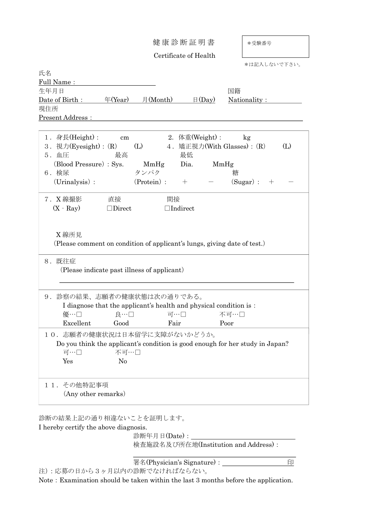健 康 診 断 証 明 書

\*受験番号

Certificate of Health

|                              |                |                                                                   |                   | *は記入しないで下さい。                                                                  |     |
|------------------------------|----------------|-------------------------------------------------------------------|-------------------|-------------------------------------------------------------------------------|-----|
| 氏名                           |                |                                                                   |                   |                                                                               |     |
| Full Name:                   |                |                                                                   |                   |                                                                               |     |
| 生年月日                         |                |                                                                   |                   | 国籍                                                                            |     |
| Date of Birth :              |                | $\text{F(Year)}$ $\text{H}(\text{Month})$                         | $\boxminus$ (Day) | Nationality :                                                                 |     |
| 現住所                          |                |                                                                   |                   |                                                                               |     |
| <b>Present Address:</b>      |                |                                                                   |                   |                                                                               |     |
|                              |                |                                                                   |                   |                                                                               |     |
| 1.身長(Height):                | cm             |                                                                   | 2. 体重(Weight):    | kg                                                                            |     |
| 3. 視力(Eyesight): (R)         |                | (L)                                                               |                   | 4. 矯正視力(With Glasses): (R)                                                    | (L) |
| 5. 血圧                        | 最高             |                                                                   | 最低                |                                                                               |     |
| (Blood Pressure) : Sys.      |                | MmHg                                                              | Dia.              | MmHg                                                                          |     |
| 6. 検尿                        |                | タンパク                                                              |                   | 糖                                                                             |     |
| $(Uninalysis)$ :             |                | (Protein):                                                        | $+$               | $(Sugar)$ :<br>$^{+}$                                                         |     |
|                              |                |                                                                   |                   |                                                                               |     |
| 7. X線撮影                      | 直接             | 間接                                                                |                   |                                                                               |     |
| $(X - Ray)$                  | $\Box$ Direct  |                                                                   | $\Box$ Indirect   |                                                                               |     |
|                              |                |                                                                   |                   |                                                                               |     |
|                              |                |                                                                   |                   |                                                                               |     |
|                              |                |                                                                   |                   |                                                                               |     |
| X 線所見                        |                |                                                                   |                   |                                                                               |     |
|                              |                |                                                                   |                   | (Please comment on condition of applicant's lungs, giving date of test.)      |     |
|                              |                |                                                                   |                   |                                                                               |     |
| 8. 既往症                       |                |                                                                   |                   |                                                                               |     |
|                              |                | (Please indicate past illness of applicant)                       |                   |                                                                               |     |
|                              |                |                                                                   |                   |                                                                               |     |
|                              |                |                                                                   |                   |                                                                               |     |
| 9. 診察の結果、志願者の健康状態は次の通りである。   |                |                                                                   |                   |                                                                               |     |
|                              |                | I diagnose that the applicant's health and physical condition is: |                   |                                                                               |     |
| 優…口                          | 良…口            |                                                                   | 可…口               | 不可…口                                                                          |     |
| Excellent                    | Good           | Fair                                                              |                   | Poor                                                                          |     |
| 10. 志願者の健康状況は日本留学に支障がないかどうか。 |                |                                                                   |                   |                                                                               |     |
|                              |                |                                                                   |                   | Do you think the applicant's condition is good enough for her study in Japan? |     |
| 可…口                          | 不可…口           |                                                                   |                   |                                                                               |     |
|                              |                |                                                                   |                   |                                                                               |     |
| Yes                          | N <sub>o</sub> |                                                                   |                   |                                                                               |     |
|                              |                |                                                                   |                   |                                                                               |     |
| その他特記事項<br>$1\,1$ .          |                |                                                                   |                   |                                                                               |     |
| (Any other remarks)          |                |                                                                   |                   |                                                                               |     |
|                              |                |                                                                   |                   |                                                                               |     |
|                              |                |                                                                   |                   |                                                                               |     |

診断の結果上記の通り相違ないことを証明します。

注):応募の日から3ヶ月以内の診断でなければならない。

I hereby certify the above diagnosis.

診断年月日(Date): \_\_\_\_\_\_ 検査施設名及び所在地(Institution and Address):

署名(Physician's Signature): 印

Note: Examination should be taken within the last 3 months before the application.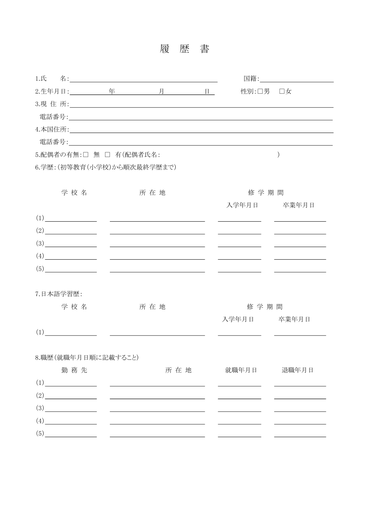履 歴 書

|           |                     |                                                                                                                                                                                                                                                                                                                                                                                                                                                                                                                                                      |                                                                                                                                                                                                                               | 性別:口男 口女    |                                                                                                                                                                                                                                      |
|-----------|---------------------|------------------------------------------------------------------------------------------------------------------------------------------------------------------------------------------------------------------------------------------------------------------------------------------------------------------------------------------------------------------------------------------------------------------------------------------------------------------------------------------------------------------------------------------------------|-------------------------------------------------------------------------------------------------------------------------------------------------------------------------------------------------------------------------------|-------------|--------------------------------------------------------------------------------------------------------------------------------------------------------------------------------------------------------------------------------------|
|           |                     |                                                                                                                                                                                                                                                                                                                                                                                                                                                                                                                                                      |                                                                                                                                                                                                                               |             |                                                                                                                                                                                                                                      |
|           |                     |                                                                                                                                                                                                                                                                                                                                                                                                                                                                                                                                                      |                                                                                                                                                                                                                               |             |                                                                                                                                                                                                                                      |
|           |                     |                                                                                                                                                                                                                                                                                                                                                                                                                                                                                                                                                      |                                                                                                                                                                                                                               |             |                                                                                                                                                                                                                                      |
|           |                     |                                                                                                                                                                                                                                                                                                                                                                                                                                                                                                                                                      | 電話番号: 2008年 - 2009年 - 2009年 - 2009年 - 2009年 - 2009年 - 2009年 - 2009年 - 2009年 - 2009年 - 2009年 - 2009年 - 2009年 - 2009年 - 2009年 - 2009年 - 2009年 - 2009年 - 2009年 - 2009年 - 2009年 - 2009年 - 2009年 - 2009年 - 2009年 - 2009年 - 2009年 - |             |                                                                                                                                                                                                                                      |
|           |                     | 5.配偶者の有無:□ 無 □ 有(配偶者氏名:                                                                                                                                                                                                                                                                                                                                                                                                                                                                                                                              |                                                                                                                                                                                                                               |             |                                                                                                                                                                                                                                      |
|           |                     | 6.学歴: (初等教育(小学校)から順次最終学歴まで)                                                                                                                                                                                                                                                                                                                                                                                                                                                                                                                          |                                                                                                                                                                                                                               |             |                                                                                                                                                                                                                                      |
|           |                     |                                                                                                                                                                                                                                                                                                                                                                                                                                                                                                                                                      |                                                                                                                                                                                                                               |             |                                                                                                                                                                                                                                      |
|           | 学 校 名               | 所 在 地                                                                                                                                                                                                                                                                                                                                                                                                                                                                                                                                                |                                                                                                                                                                                                                               | 修学期間        |                                                                                                                                                                                                                                      |
|           |                     |                                                                                                                                                                                                                                                                                                                                                                                                                                                                                                                                                      |                                                                                                                                                                                                                               | 入学年月日 卒業年月日 |                                                                                                                                                                                                                                      |
|           |                     | $(1) \begin{picture}(10,10)(-0.00,0) \put(0,0){\line(1,0){10}} \put(1,0){\line(1,0){10}} \put(1,0){\line(1,0){10}} \put(1,0){\line(1,0){10}} \put(1,0){\line(1,0){10}} \put(1,0){\line(1,0){10}} \put(1,0){\line(1,0){10}} \put(1,0){\line(1,0){10}} \put(1,0){\line(1,0){10}} \put(1,0){\line(1,0){10}} \put(1,0){\line(1,0){10}} \put(1,0){\line(1$                                                                                                                                                                                                |                                                                                                                                                                                                                               |             | <u>and the state of the state of the state of the state of the state of the state of the state of the state of the state of the state of the state of the state of the state of the state of the state of the state of the state</u> |
|           |                     | $\frac{1}{2}$                                                                                                                                                                                                                                                                                                                                                                                                                                                                                                                                        |                                                                                                                                                                                                                               |             | <u> 1989 - Johann Barnett, fransk politik (</u>                                                                                                                                                                                      |
|           |                     | $\frac{1}{2}$ $\frac{1}{2}$ $\frac{1}{2}$ $\frac{1}{2}$ $\frac{1}{2}$ $\frac{1}{2}$ $\frac{1}{2}$ $\frac{1}{2}$ $\frac{1}{2}$ $\frac{1}{2}$ $\frac{1}{2}$ $\frac{1}{2}$ $\frac{1}{2}$ $\frac{1}{2}$ $\frac{1}{2}$ $\frac{1}{2}$ $\frac{1}{2}$ $\frac{1}{2}$ $\frac{1}{2}$ $\frac{1}{2}$ $\frac{1}{2}$ $\frac{1}{2}$                                                                                                                                                                                                                                  |                                                                                                                                                                                                                               |             |                                                                                                                                                                                                                                      |
|           |                     | (4)                                                                                                                                                                                                                                                                                                                                                                                                                                                                                                                                                  |                                                                                                                                                                                                                               |             | <u> 1989 - Johann Barbara, martin eta politikar</u>                                                                                                                                                                                  |
|           | (5)                 | <u> 1990 - John Harry Harry Harry Harry Harry Harry Harry Harry Harry Harry Harry Harry Harry Harry Harry Harry</u>                                                                                                                                                                                                                                                                                                                                                                                                                                  |                                                                                                                                                                                                                               |             |                                                                                                                                                                                                                                      |
|           |                     |                                                                                                                                                                                                                                                                                                                                                                                                                                                                                                                                                      |                                                                                                                                                                                                                               |             |                                                                                                                                                                                                                                      |
| 7.日本語学習歴: |                     |                                                                                                                                                                                                                                                                                                                                                                                                                                                                                                                                                      |                                                                                                                                                                                                                               |             |                                                                                                                                                                                                                                      |
|           | 学校名                 | 所 在 地                                                                                                                                                                                                                                                                                                                                                                                                                                                                                                                                                |                                                                                                                                                                                                                               | 修 学 期 間     |                                                                                                                                                                                                                                      |
|           |                     |                                                                                                                                                                                                                                                                                                                                                                                                                                                                                                                                                      |                                                                                                                                                                                                                               | 入学年月日 卒業年月日 |                                                                                                                                                                                                                                      |
|           |                     | $(1) \qquad \qquad \underline{\hspace{1.5cm}} \qquad \qquad \underline{\hspace{1.5cm}} \qquad \qquad \underline{\hspace{1.5cm}} \qquad \qquad \underline{\hspace{1.5cm}} \qquad \qquad \underline{\hspace{1.5cm}} \qquad \qquad \underline{\hspace{1.5cm}} \qquad \qquad \underline{\hspace{1.5cm}} \qquad \qquad \underline{\hspace{1.5cm}} \qquad \qquad \underline{\hspace{1.5cm}} \qquad \qquad \underline{\hspace{1.5cm}} \qquad \qquad \underline{\hspace{1.5cm}} \qquad \qquad \underline{\hspace{1.5cm}} \qquad \qquad \underline{\hspace{1$ |                                                                                                                                                                                                                               |             |                                                                                                                                                                                                                                      |
|           |                     |                                                                                                                                                                                                                                                                                                                                                                                                                                                                                                                                                      |                                                                                                                                                                                                                               |             |                                                                                                                                                                                                                                      |
|           | 8.職歴(就職年月日順に記載すること) |                                                                                                                                                                                                                                                                                                                                                                                                                                                                                                                                                      |                                                                                                                                                                                                                               |             |                                                                                                                                                                                                                                      |
|           | 勤務先                 |                                                                                                                                                                                                                                                                                                                                                                                                                                                                                                                                                      | 所 在 地                                                                                                                                                                                                                         | 就職年月日       | 退職年月日                                                                                                                                                                                                                                |
|           |                     | $(1) \begin{tabular}{l} \hline \rule[1em]{1em}{1em} \rule[1em]{1em}{1em} \rule[1em]{1em}{1em} \rule[1em]{1em}{1em} \rule[1em]{1em}{1em} \rule[1em]{1em}{1em} \rule[1em]{1em}{1em} \rule[1em]{1em}{1em} \rule[1em]{1em}{1em} \rule[1em]{1em}{1em} \rule[1em]{1em}{1em} \rule[1em]{1em}{1em} \rule[1em]{1em}{1em} \rule[1em]{1em}{1em} \rule[1em]{1em}{1em} \rule[1em]{1em}{1em} \rule[1em]{1em}{1em} \rule$                                                                                                                                           |                                                                                                                                                                                                                               |             |                                                                                                                                                                                                                                      |
|           |                     | $\frac{1}{2}$                                                                                                                                                                                                                                                                                                                                                                                                                                                                                                                                        |                                                                                                                                                                                                                               |             | the control of the control of the control of                                                                                                                                                                                         |
| (3)       |                     |                                                                                                                                                                                                                                                                                                                                                                                                                                                                                                                                                      |                                                                                                                                                                                                                               |             |                                                                                                                                                                                                                                      |
|           |                     | $\begin{picture}(4) \put(0,0){\vector(1,0){100}} \put(15,0){\vector(1,0){100}} \put(15,0){\vector(1,0){100}} \put(15,0){\vector(1,0){100}} \put(15,0){\vector(1,0){100}} \put(15,0){\vector(1,0){100}} \put(15,0){\vector(1,0){100}} \put(15,0){\vector(1,0){100}} \put(15,0){\vector(1,0){100}} \put(15,0){\vector(1,0){100}} \put(15,0){\vector(1,0){100}} \put(15$                                                                                                                                                                                |                                                                                                                                                                                                                               |             |                                                                                                                                                                                                                                      |
|           |                     | $\begin{picture}(5,20) \put(0,0){\vector(1,0){100}} \put(15,0){\vector(1,0){100}} \put(15,0){\vector(1,0){100}} \put(15,0){\vector(1,0){100}} \put(15,0){\vector(1,0){100}} \put(15,0){\vector(1,0){100}} \put(15,0){\vector(1,0){100}} \put(15,0){\vector(1,0){100}} \put(15,0){\vector(1,0){100}} \put(15,0){\vector(1,0){100}} \put(15,0){\vector(1,0){100}} \put$                                                                                                                                                                                |                                                                                                                                                                                                                               |             |                                                                                                                                                                                                                                      |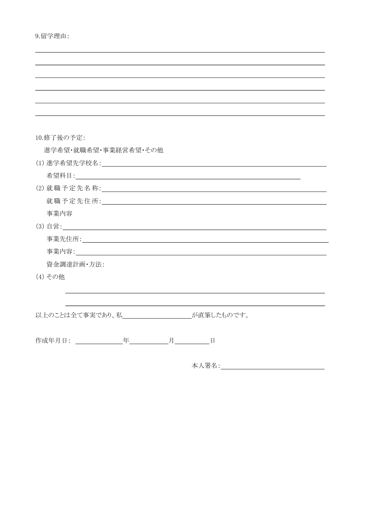| 9.留学理由: |  |
|---------|--|

| 10.修了後の予定:                                                                                                     |  |
|----------------------------------------------------------------------------------------------------------------|--|
| 進学希望・就職希望・事業経営希望・その他                                                                                           |  |
|                                                                                                                |  |
|                                                                                                                |  |
| (2) 就職予定先名称: 2000年 2000年 2000年 2000年 2000年 2000年 2000年 2000年 2000年 2000年 2000年 2000年 2000年 2000年 200           |  |
| 就職予定先住所: 2000年 2000年 第2012年 2月 11:00 12:00 12:00 12:00 12:00 12:00 12:00 12:00 12:00 12:00 12:00 12:00 12:00 1 |  |
| 事業内容                                                                                                           |  |
|                                                                                                                |  |
|                                                                                                                |  |
|                                                                                                                |  |
| 資金調達計画·方法:                                                                                                     |  |
| (4) その他                                                                                                        |  |
|                                                                                                                |  |
|                                                                                                                |  |
| 以上のことは全て事実であり、私<br><u> スターマンスコードが直筆したものです</u> 。                                                                |  |
|                                                                                                                |  |
| 作成年月日: 「「」 年 月 日                                                                                               |  |

本人署名: